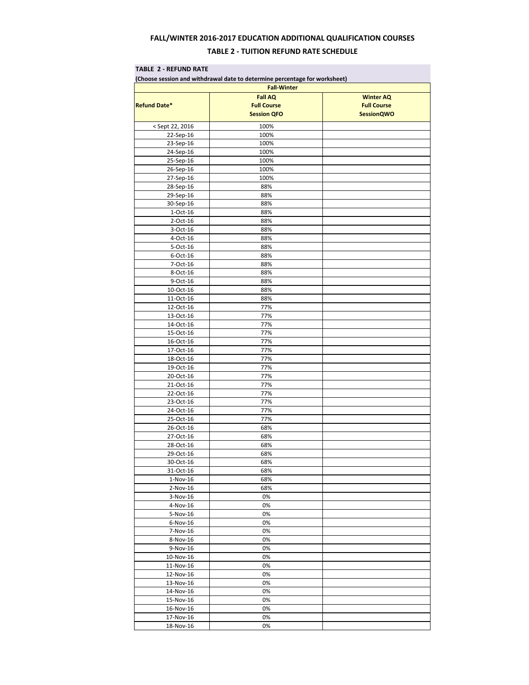# **FALL/WINTER 2016-2017 EDUCATION ADDITIONAL QUALIFICATION COURSES TABLE 2 - TUITION REFUND RATE SCHEDULE**

#### **TABLE 2 - REFUND RATE**

| (Choose session and withdrawal date to determine percentage for worksheet)<br><b>Fall-Winter</b> |                    |                    |  |  |
|--------------------------------------------------------------------------------------------------|--------------------|--------------------|--|--|
|                                                                                                  | <b>Fall AQ</b>     | <b>Winter AQ</b>   |  |  |
| <b>Refund Date*</b>                                                                              | <b>Full Course</b> | <b>Full Course</b> |  |  |
|                                                                                                  | <b>Session QFO</b> | <b>SessionQWO</b>  |  |  |
|                                                                                                  |                    |                    |  |  |
| <sept 2016<="" 22,="" td=""><td>100%</td><td></td></sept>                                        | 100%               |                    |  |  |
| $22-Sep-16$                                                                                      | 100%               |                    |  |  |
| 23-Sep-16                                                                                        | 100%               |                    |  |  |
| 24-Sep-16                                                                                        | 100%               |                    |  |  |
| 25-Sep-16                                                                                        | 100%               |                    |  |  |
| 26-Sep-16                                                                                        | 100%               |                    |  |  |
| 27-Sep-16                                                                                        | 100%               |                    |  |  |
| 28-Sep-16                                                                                        | 88%                |                    |  |  |
| 29-Sep-16                                                                                        | 88%                |                    |  |  |
| 30-Sep-16                                                                                        | 88%                |                    |  |  |
| $1-Oct-16$                                                                                       | 88%                |                    |  |  |
| 2-Oct-16                                                                                         | 88%                |                    |  |  |
| 3-Oct-16                                                                                         | 88%                |                    |  |  |
| 4-Oct-16                                                                                         | 88%                |                    |  |  |
| 5-Oct-16                                                                                         | 88%                |                    |  |  |
| 6-Oct-16                                                                                         | 88%                |                    |  |  |
| 7-Oct-16                                                                                         | 88%                |                    |  |  |
| 8-Oct-16                                                                                         | 88%                |                    |  |  |
| 9-Oct-16                                                                                         | 88%                |                    |  |  |
| $10$ -Oct- $16$                                                                                  | 88%                |                    |  |  |
| 11-Oct-16                                                                                        | 88%                |                    |  |  |
| 12-Oct-16                                                                                        | 77%                |                    |  |  |
| 13-Oct-16                                                                                        | 77%                |                    |  |  |
| 14-Oct-16                                                                                        | 77%                |                    |  |  |
| $15-Oct-16$                                                                                      | 77%                |                    |  |  |
| 16-Oct-16                                                                                        | 77%                |                    |  |  |
| 17-Oct-16                                                                                        | 77%                |                    |  |  |
| $18-Oct-16$                                                                                      | 77%                |                    |  |  |
| 19-Oct-16                                                                                        | 77%                |                    |  |  |
| 20-Oct-16                                                                                        | 77%                |                    |  |  |
| 21-Oct-16                                                                                        | 77%                |                    |  |  |
| 22-Oct-16                                                                                        | 77%                |                    |  |  |
| 23-Oct-16                                                                                        | 77%                |                    |  |  |
| 24-Oct-16                                                                                        | 77%                |                    |  |  |
| 25-Oct-16                                                                                        | 77%                |                    |  |  |
| 26-Oct-16                                                                                        | 68%                |                    |  |  |
| 27-Oct-16                                                                                        | 68%                |                    |  |  |
| 28-Oct-16                                                                                        | 68%                |                    |  |  |
| 29-Oct-16                                                                                        | 68%                |                    |  |  |
| $30 - 0ct - 16$                                                                                  | 68%                |                    |  |  |
| 31-Oct-16                                                                                        | 68%                |                    |  |  |
| $1-Nov-16$                                                                                       | 68%                |                    |  |  |
| $2-Nov-16$                                                                                       | 68%                |                    |  |  |
| 3-Nov-16                                                                                         | 0%                 |                    |  |  |
| 4-Nov-16                                                                                         | 0%                 |                    |  |  |
| 5-Nov-16                                                                                         | 0%                 |                    |  |  |
| 6-Nov-16                                                                                         | 0%                 |                    |  |  |
| 7-Nov-16                                                                                         | 0%                 |                    |  |  |
| 8-Nov-16                                                                                         | 0%                 |                    |  |  |
| 9-Nov-16                                                                                         | 0%                 |                    |  |  |
| 10-Nov-16                                                                                        | 0%                 |                    |  |  |
| 11-Nov-16                                                                                        | 0%                 |                    |  |  |
| 12-Nov-16                                                                                        | 0%                 |                    |  |  |
| 13-Nov-16                                                                                        | 0%                 |                    |  |  |
| 14-Nov-16                                                                                        | 0%                 |                    |  |  |
| 15-Nov-16                                                                                        | 0%                 |                    |  |  |
| 16-Nov-16                                                                                        | 0%                 |                    |  |  |
| 17-Nov-16                                                                                        | 0%                 |                    |  |  |
| 18-Nov-16                                                                                        | 0%                 |                    |  |  |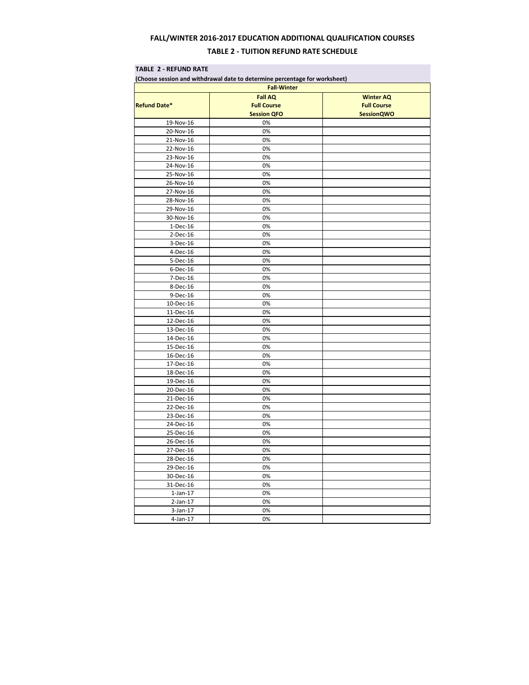# **FALL/WINTER 2016-2017 EDUCATION ADDITIONAL QUALIFICATION COURSES TABLE 2 - TUITION REFUND RATE SCHEDULE**

### **TABLE 2 - REFUND RATE**

| (Choose session and withdrawal date to determine percentage for worksheet)<br><b>Fall-Winter</b><br><b>Fall AQ</b><br><b>Winter AQ</b> |                    |                   |  |  |
|----------------------------------------------------------------------------------------------------------------------------------------|--------------------|-------------------|--|--|
|                                                                                                                                        |                    |                   |  |  |
|                                                                                                                                        | <b>Session QFO</b> | <b>SessionQWO</b> |  |  |
| 19-Nov-16                                                                                                                              | 0%                 |                   |  |  |
| 20-Nov-16                                                                                                                              | 0%                 |                   |  |  |
| 21-Nov-16                                                                                                                              | 0%                 |                   |  |  |
| 22-Nov-16                                                                                                                              | 0%                 |                   |  |  |
| 23-Nov-16                                                                                                                              | 0%                 |                   |  |  |
| 24-Nov-16                                                                                                                              | 0%                 |                   |  |  |
| 25-Nov-16                                                                                                                              | 0%                 |                   |  |  |
| 26-Nov-16                                                                                                                              | 0%                 |                   |  |  |
| 27-Nov-16                                                                                                                              | 0%                 |                   |  |  |
| 28-Nov-16                                                                                                                              | 0%                 |                   |  |  |
| 29-Nov-16                                                                                                                              | 0%                 |                   |  |  |
| 30-Nov-16                                                                                                                              | 0%                 |                   |  |  |
| 1-Dec-16                                                                                                                               | 0%                 |                   |  |  |
| $2-Dec-16$                                                                                                                             | 0%                 |                   |  |  |
| 3-Dec-16                                                                                                                               | 0%                 |                   |  |  |
| 4-Dec-16                                                                                                                               | 0%                 |                   |  |  |
| 5-Dec-16                                                                                                                               | 0%                 |                   |  |  |
| 6-Dec-16                                                                                                                               | 0%                 |                   |  |  |
| 7-Dec-16                                                                                                                               | 0%                 |                   |  |  |
| 8-Dec-16                                                                                                                               | 0%                 |                   |  |  |
| 9-Dec-16                                                                                                                               | 0%                 |                   |  |  |
| 10-Dec-16                                                                                                                              | 0%                 |                   |  |  |
| 11-Dec-16                                                                                                                              | 0%                 |                   |  |  |
| 12-Dec-16                                                                                                                              | 0%                 |                   |  |  |
| 13-Dec-16                                                                                                                              | 0%                 |                   |  |  |
| 14-Dec-16                                                                                                                              | 0%                 |                   |  |  |
| 15-Dec-16                                                                                                                              | 0%                 |                   |  |  |
| 16-Dec-16                                                                                                                              | 0%                 |                   |  |  |
| 17-Dec-16                                                                                                                              | 0%                 |                   |  |  |
| 18-Dec-16                                                                                                                              | 0%                 |                   |  |  |
| 19-Dec-16                                                                                                                              | 0%                 |                   |  |  |
| 20-Dec-16                                                                                                                              | 0%                 |                   |  |  |
| 21-Dec-16                                                                                                                              | 0%                 |                   |  |  |
| 22-Dec-16                                                                                                                              | 0%                 |                   |  |  |
| 23-Dec-16                                                                                                                              | 0%                 |                   |  |  |
| 24-Dec-16                                                                                                                              | 0%                 |                   |  |  |
| 25-Dec-16                                                                                                                              | 0%                 |                   |  |  |
| 26-Dec-16                                                                                                                              | 0%                 |                   |  |  |
| 27-Dec-16                                                                                                                              | 0%                 |                   |  |  |
| 28-Dec-16                                                                                                                              | 0%                 |                   |  |  |
| 29-Dec-16                                                                                                                              | 0%                 |                   |  |  |
| 30-Dec-16                                                                                                                              | 0%                 |                   |  |  |
| 31-Dec-16                                                                                                                              | 0%                 |                   |  |  |
| $1$ -Jan- $17$                                                                                                                         | 0%                 |                   |  |  |
| $2$ -Jan-17                                                                                                                            | 0%                 |                   |  |  |
| $3-Jan-17$                                                                                                                             | 0%                 |                   |  |  |
| $4$ -Jan-17                                                                                                                            | 0%                 |                   |  |  |
|                                                                                                                                        |                    |                   |  |  |